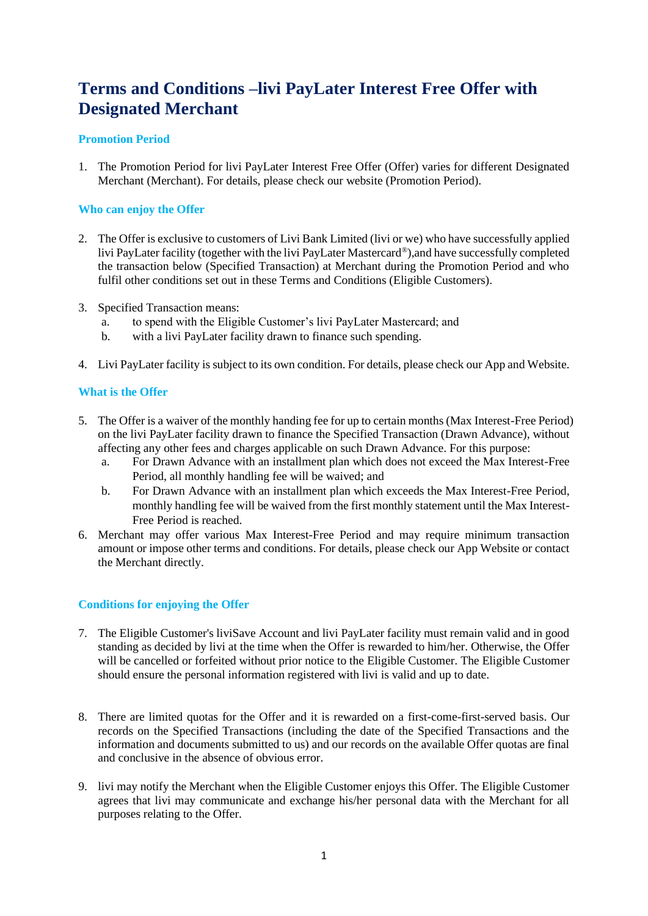# **Terms and Conditions –livi PayLater Interest Free Offer with Designated Merchant**

## **Promotion Period**

1. The Promotion Period for livi PayLater Interest Free Offer (Offer) varies for different Designated Merchant (Merchant). For details, please check our website (Promotion Period).

### **Who can enjoy the Offer**

- 2. The Offer is exclusive to customers of Livi Bank Limited (livi or we) who have successfully applied livi PayLater facility (together with the livi PayLater Mastercard®),and have successfully completed the transaction below (Specified Transaction) at Merchant during the Promotion Period and who fulfil other conditions set out in these Terms and Conditions (Eligible Customers).
- 3. Specified Transaction means:
	- a. to spend with the Eligible Customer's livi PayLater Mastercard; and
	- b. with a livi PayLater facility drawn to finance such spending.
- 4. Livi PayLater facility is subject to its own condition. For details, please check our App and Website.

### **What is the Offer**

- 5. The Offer is a waiver of the monthly handing fee for up to certain months (Max Interest-Free Period) on the livi PayLater facility drawn to finance the Specified Transaction (Drawn Advance), without affecting any other fees and charges applicable on such Drawn Advance. For this purpose:
	- a. For Drawn Advance with an installment plan which does not exceed the Max Interest-Free Period, all monthly handling fee will be waived; and
	- b. For Drawn Advance with an installment plan which exceeds the Max Interest-Free Period, monthly handling fee will be waived from the first monthly statement until the Max Interest-Free Period is reached.
- 6. Merchant may offer various Max Interest-Free Period and may require minimum transaction amount or impose other terms and conditions. For details, please check our App Website or contact the Merchant directly.

## **Conditions for enjoying the Offer**

- 7. The Eligible Customer's liviSave Account and livi PayLater facility must remain valid and in good standing as decided by livi at the time when the Offer is rewarded to him/her. Otherwise, the Offer will be cancelled or forfeited without prior notice to the Eligible Customer. The Eligible Customer should ensure the personal information registered with livi is valid and up to date.
- 8. There are limited quotas for the Offer and it is rewarded on a first-come-first-served basis. Our records on the Specified Transactions (including the date of the Specified Transactions and the information and documents submitted to us) and our records on the available Offer quotas are final and conclusive in the absence of obvious error.
- 9. livi may notify the Merchant when the Eligible Customer enjoys this Offer. The Eligible Customer agrees that livi may communicate and exchange his/her personal data with the Merchant for all purposes relating to the Offer.